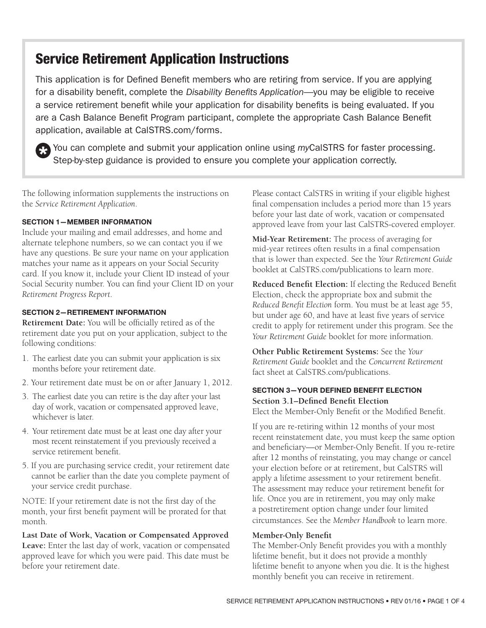# Service Retirement Application Instructions

This application is for Defined Benefit members who are retiring from service. If you are applying for a disability benefit, complete the *Disability Benefits Application*—you may be eligible to receive a service retirement benefit while your application for disability benefits is being evaluated. If you are a Cash Balance Benefit Program participant, complete the appropriate Cash Balance Benefit application, available at CalSTRS.com/forms.



You can complete and submit your application online using *my*CalSTRS for faster processing. Step-by-step guidance is provided to ensure you complete your application correctly.

The following information supplements the instructions on the *Service Retirement Application*.

# SECTION 1—MEMBER INFORMATION

Include your mailing and email addresses, and home and alternate telephone numbers, so we can contact you if we have any questions. Be sure your name on your application matches your name as it appears on your Social Security card. If you know it, include your Client ID instead of your Social Security number. You can find your Client ID on your *Retirement Progress Report*.

#### SECTION 2—RETIREMENT INFORMATION

**Retirement Date:** You will be officially retired as of the retirement date you put on your application, subject to the following conditions:

- 1. The earliest date you can submit your application is six months before your retirement date.
- 2. Your retirement date must be on or after January 1, 2012.
- 3. The earliest date you can retire is the day after your last day of work, vacation or compensated approved leave, whichever is later.
- 4. Your retirement date must be at least one day after your most recent reinstatement if you previously received a service retirement benefit.
- 5. If you are purchasing service credit, your retirement date cannot be earlier than the date you complete payment of your service credit purchase.

NOTE: If your retirement date is not the first day of the month, your first benefit payment will be prorated for that month.

**Last Date of Work, Vacation or Compensated Approved Leave:** Enter the last day of work, vacation or compensated approved leave for which you were paid. This date must be before your retirement date.

Please contact CalSTRS in writing if your eligible highest final compensation includes a period more than 15 years before your last date of work, vacation or compensated approved leave from your last CalSTRS-covered employer.

**Mid-Year Retirement:** The process of averaging for mid-year retirees often results in a final compensation that is lower than expected. See the *Your Retirement Guide*  booklet at CalSTRS.com/publications to learn more.

**Reduced Benefit Election:** If electing the Reduced Benefit Election, check the appropriate box and submit the *Reduced Benefit Election* form. You must be at least age 55, but under age 60, and have at least five years of service credit to apply for retirement under this program. See the *Your Retirement Guide* booklet for more information.

**Other Public Retirement Systems:** See the *Your Retirement Guide* booklet and the *Concurrent Retirement* fact sheet at CalSTRS.com/publications.

# SECTION 3—YOUR DEFINED BENEFIT ELECTION **Section 3.1–Defined Benefit Election**

Elect the Member-Only Benefit or the Modified Benefit.

If you are re-retiring within 12 months of your most recent reinstatement date, you must keep the same option and beneficiary—or Member-Only Benefit. If you re-retire after 12 months of reinstating, you may change or cancel your election before or at retirement, but CalSTRS will apply a lifetime assessment to your retirement benefit. The assessment may reduce your retirement benefit for life. Once you are in retirement, you may only make a postretirement option change under four limited circumstances. See the *Member Handbook* to learn more.

#### **Member-Only Benefit**

The Member-Only Benefit provides you with a monthly lifetime benefit, but it does not provide a monthly lifetime benefit to anyone when you die. It is the highest monthly benefit you can receive in retirement.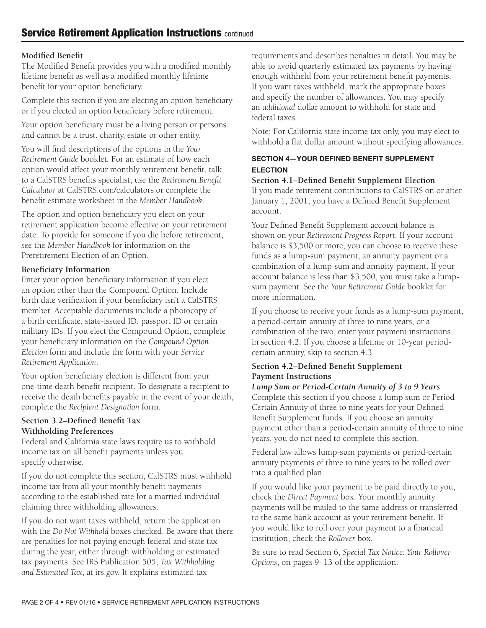# **Modified Benefit**

The Modified Benefit provides you with a modified monthly lifetime benefit as well as a modified monthly lifetime benefit for your option beneficiary.

Complete this section if you are electing an option beneficiary or if you elected an option beneficiary before retirement.

Your option beneficiary must be a living person or persons and cannot be a trust, charity, estate or other entity.

You will find descriptions of the options in the *Your Retirement Guide* booklet*.* For an estimate of how each option would affect your monthly retirement benefit, talk to a CalSTRS benefits specialist, use the *Retirement Benefit Calculator* at CalSTRS.com/calculators or complete the benefit estimate worksheet in the *Member Handbook*.

The option and option beneficiary you elect on your retirement application become effective on your retirement date. To provide for someone if you die before retirement, see the *Member Handbook* for information on the Preretirement Election of an Option.

# **Beneficiary Information**

Enter your option beneficiary information if you elect an option other than the Compound Option. Include birth date verification if your beneficiary isn't a CalSTRS member. Acceptable documents include a photocopy of a birth certificate, state-issued ID, passport ID or certain military IDs. If you elect the Compound Option, complete your beneficiary information on the *Compound Option Election* form and include the form with your *Service Retirement Application*.

Your option beneficiary election is different from your one-time death benefit recipient. To designate a recipient to receive the death benefits payable in the event of your death, complete the *Recipient Designation* form.

# **Section 3.2–Defined Benefit Tax Withholding Preferences**

Federal and California state laws require us to withhold income tax on all benefit payments unless you specify otherwise.

If you do not complete this section, CalSTRS must withhold income tax from all your monthly benefit payments according to the established rate for a married individual claiming three withholding allowances.

If you do not want taxes withheld, return the application with the *Do Not Withhold* boxes checked. Be aware that there are penalties for not paying enough federal and state tax during the year, either through withholding or estimated tax payments. See IRS Publication 505, *Tax Withholding and Estimated Tax*, at irs.gov. It explains estimated tax

requirements and describes penalties in detail. You may be able to avoid quarterly estimated tax payments by having enough withheld from your retirement benefit payments. If you want taxes withheld, mark the appropriate boxes and specify the number of allowances. You may specify an *additional* dollar amount to withhold for state and federal taxes.

Note: For California state income tax only, you may elect to withhold a flat dollar amount without specifying allowances.

# SECTION 4—YOUR DEFINED BENEFIT SUPPLEMENT ELECTION

# **Section 4.1–Defined Benefit Supplement Election**

If you made retirement contributions to CalSTRS on or after January 1, 2001, you have a Defined Benefit Supplement account.

Your Defined Benefit Supplement account balance is shown on your *Retirement Progress Report*. If your account balance is \$3,500 or more, you can choose to receive these funds as a lump-sum payment, an annuity payment or a combination of a lump-sum and annuity payment. If your account balance is less than \$3,500, you must take a lumpsum payment. See the *Your Retirement Guide* booklet for more information.

If you choose to receive your funds as a lump-sum payment, a period-certain annuity of three to nine years, or a combination of the two, enter your payment instructions in section 4.2. If you choose a lifetime or 10-year periodcertain annuity, skip to section 4.3.

# **Section 4.2–Defined Benefit Supplement Payment Instructions**

*Lump Sum or Period-Certain Annuity of 3 to 9 Years* Complete this section if you choose a lump sum or Period-Certain Annuity of three to nine years for your Defined Benefit Supplement funds. If you choose an annuity payment other than a period-certain annuity of three to nine years, you do not need to complete this section.

Federal law allows lump-sum payments or period-certain annuity payments of three to nine years to be rolled over into a qualified plan.

If you would like your payment to be paid directly to you, check the *Direct Payment* box. Your monthly annuity payments will be mailed to the same address or transferred to the same bank account as your retirement benefit. If you would like to roll over your payment to a financial institution, check the *Rollover* box.

Be sure to read Section 6, *Special Tax Notice: Your Rollover Options*, on pages 9–13 of the application.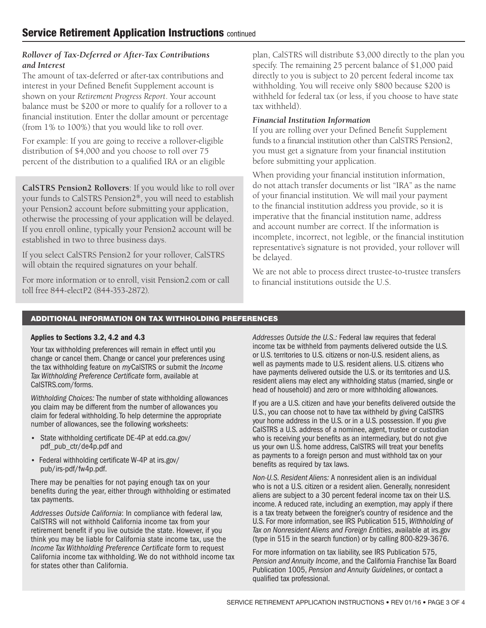# *Rollover of Tax-Deferred or After-Tax Contributions and Interest*

The amount of tax-deferred or after-tax contributions and interest in your Defined Benefit Supplement account is shown on your *Retirement Progress Report*. Your account balance must be \$200 or more to qualify for a rollover to a financial institution. Enter the dollar amount or percentage (from 1% to 100%) that you would like to roll over.

For example: If you are going to receive a rollover-eligible distribution of \$4,000 and you choose to roll over 75 percent of the distribution to a qualified IRA or an eligible

**CalSTRS Pension2 Rollovers**: If you would like to roll over your funds to CalSTRS Pension2®, you will need to establish your Pension2 account before submitting your application, otherwise the processing of your application will be delayed. If you enroll online, typically your Pension2 account will be established in two to three business days.

If you select CalSTRS Pension2 for your rollover, CalSTRS will obtain the required signatures on your behalf.

For more information or to enroll, visit [Pension2.com](http://www.calstrs.com/members/pension2) or call toll free 844-electP2 (844-353-2872).

plan, CalSTRS will distribute \$3,000 directly to the plan you specify. The remaining 25 percent balance of \$1,000 paid directly to you is subject to 20 percent federal income tax withholding. You will receive only \$800 because \$200 is withheld for federal tax (or less, if you choose to have state tax withheld).

# *Financial Institution Information*

If you are rolling over your Defined Benefit Supplement funds to a financial institution other than CalSTRS Pension2, you must get a signature from your financial institution before submitting your application.

When providing your financial institution information, do not attach transfer documents or list "IRA" as the name of your financial institution. We will mail your payment to the financial institution address you provide, so it is imperative that the financial institution name, address and account number are correct. If the information is incomplete, incorrect, not legible, or the financial institution representative's signature is not provided, your rollover will be delayed.

We are not able to process direct trustee-to-trustee transfers to financial institutions outside the U.S.

# ADDITIONAL INFORMATION ON TAX WITHHOLDING PREFERENCES

# Applies to Sections 3.2, 4.2 and 4.3

Your tax withholding preferences will remain in effect until you change or cancel them. Change or cancel your preferences using the tax withholding feature on *my*CalSTRS or submit the *Income Tax Withholding Preference Certificate* form, available at CalSTRS.com/forms.

*Withholding Choices:* The number of state withholding allowances you claim may be different from the number of allowances you claim for federal withholding. To help determine the appropriate number of allowances, see the following worksheets:

- State withholding certificate DE-4P at edd.ca.gov/ pdf\_pub\_ctr/de4p.pdf and
- Federal withholding certificate W-4P at irs.gov/ pub/irs-pdf/fw4p.pdf.

There may be penalties for not paying enough tax on your benefits during the year, either through withholding or estimated tax payments.

*Addresses Outside California*: In compliance with federal law, CalSTRS will not withhold California income tax from your retirement benefit if you live outside the state. However, if you think you may be liable for California state income tax, use the *Income Tax Withholding Preference Certificate* form to request California income tax withholding. We do not withhold income tax for states other than California.

*Addresses Outside the U.S.:* Federal law requires that federal income tax be withheld from payments delivered outside the U.S. or U.S. territories to U.S. citizens or non-U.S. resident aliens, as well as payments made to U.S. resident aliens. U.S. citizens who have payments delivered outside the U.S. or its territories and U.S. resident aliens may elect any withholding status (married, single or head of household) and zero or more withholding allowances.

If you are a U.S. citizen and have your benefits delivered outside the U.S., you can choose not to have tax withheld by giving CalSTRS your home address in the U.S. or in a U.S. possession. If you give CalSTRS a U.S. address of a nominee, agent, trustee or custodian who is receiving your benefits as an intermediary, but do not give us your own U.S. home address, CalSTRS will treat your benefits as payments to a foreign person and must withhold tax on your benefits as required by tax laws.

*Non-U.S. Resident Aliens:* A nonresident alien is an individual who is not a U.S. citizen or a resident alien. Generally, nonresident aliens are subject to a 30 percent federal income tax on their U.S. income. A reduced rate, including an exemption, may apply if there is a tax treaty between the foreigner's country of residence and the U.S. For more information, see IRS Publication 515, *Withholding of Tax on Nonresident Aliens and Foreign Entities*, available at irs.gov (type in 515 in the search function) or by calling 800-829-3676.

For more information on tax liability, see IRS Publication 575, *Pension and Annuity Income*, and the California Franchise Tax Board Publication 1005, *Pension and Annuity Guidelines*, or contact a qualified tax professional.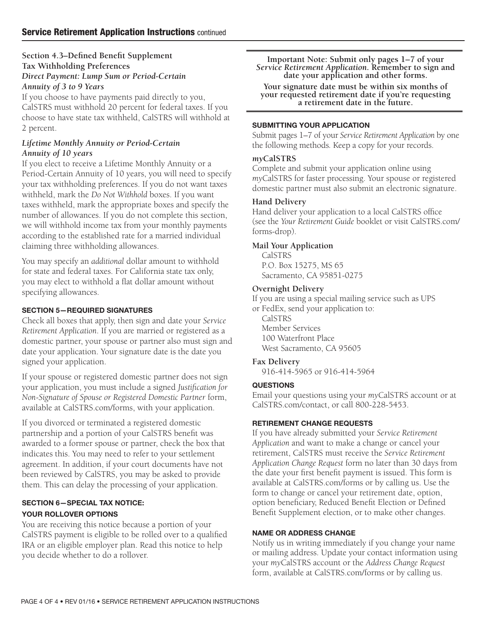# **Section 4.3–Defined Benefit Supplement Tax Withholding Preferences** *Direct Payment: Lump Sum or Period-Certain Annuity of 3 to 9 Years*

If you choose to have payments paid directly to you, CalSTRS must withhold 20 percent for federal taxes. If you choose to have state tax withheld, CalSTRS will withhold at 2 percent.

# *Lifetime Monthly Annuity or Period-Certain Annuity of 10 years*

If you elect to receive a Lifetime Monthly Annuity or a Period-Certain Annuity of 10 years, you will need to specify your tax withholding preferences. If you do not want taxes withheld, mark the *Do Not Withhold* boxes. If you want taxes withheld, mark the appropriate boxes and specify the number of allowances. If you do not complete this section, we will withhold income tax from your monthly payments according to the established rate for a married individual claiming three withholding allowances.

You may specify an *additional* dollar amount to withhold for state and federal taxes. For California state tax only, you may elect to withhold a flat dollar amount without specifying allowances.

# SECTION 5—REQUIRED SIGNATURES

Check all boxes that apply, then sign and date your *Service Retirement Application*. If you are married or registered as a domestic partner, your spouse or partner also must sign and date your application. Your signature date is the date you signed your application.

If your spouse or registered domestic partner does not sign your application, you must include a signed *Justification for Non-Signature of Spouse or Registered Domestic Partner* form, available at CalSTRS.com/forms, with your application.

If you divorced or terminated a registered domestic partnership and a portion of your CalSTRS benefit was awarded to a former spouse or partner, check the box that indicates this. You may need to refer to your settlement agreement. In addition, if your court documents have not been reviewed by CalSTRS, you may be asked to provide them. This can delay the processing of your application.

# SECTION 6—SPECIAL TAX NOTICE: YOUR ROLLOVER OPTIONS

You are receiving this notice because a portion of your CalSTRS payment is eligible to be rolled over to a qualified IRA or an eligible employer plan. Read this notice to help you decide whether to do a rollover.

**Important Note: Submit only pages 1–7 of your** *Service Retirement Application***. Remember to sign and date your application and other forms.**

**Your signature date must be within six months of your requested retirement date if you're requesting a retirement date in the future.**

#### SUBMITTING YOUR APPLICATION

Submit pages 1–7 of your *Service Retirement Application* by one the following methods*.* Keep a copy for your records.

#### *my***CalSTRS**

Complete and submit your application online using *my*CalSTRS for faster processing. Your spouse or registered domestic partner must also submit an electronic signature.

#### **Hand Delivery**

Hand deliver your application to a local CalSTRS office (see the *Your Retirement Guide* booklet or visit CalSTRS.com/ forms-drop).

# **Mail Your Application**

CalSTRS P.O. Box 15275, MS 65 Sacramento, CA 95851-0275

#### **Overnight Delivery**

If you are using a special mailing service such as UPS

or FedEx, send your application to:

CalSTRS Member Services 100 Waterfront Place West Sacramento, CA 95605

# **Fax Delivery**

916-414-5965 or 916-414-5964

# **QUESTIONS**

Email your questions using your *my*CalSTRS account or at CalSTRS.com/contact, or call 800-228-5453.

# RETIREMENT CHANGE REQUESTS

If you have already submitted your *Service Retirement Application* and want to make a change or cancel your retirement, CalSTRS must receive the *Service Retirement Application Change Request* form no later than 30 days from the date your first benefit payment is issued. This form is available at CalSTRS.com/forms or by calling us. Use the form to change or cancel your retirement date, option, option beneficiary, Reduced Benefit Election or Defined Benefit Supplement election, or to make other changes.

#### NAME OR ADDRESS CHANGE

Notify us in writing immediately if you change your name or mailing address. Update your contact information using your *my*CalSTRS account or the *Address Change Request* form, available at CalSTRS.com/forms or by calling us.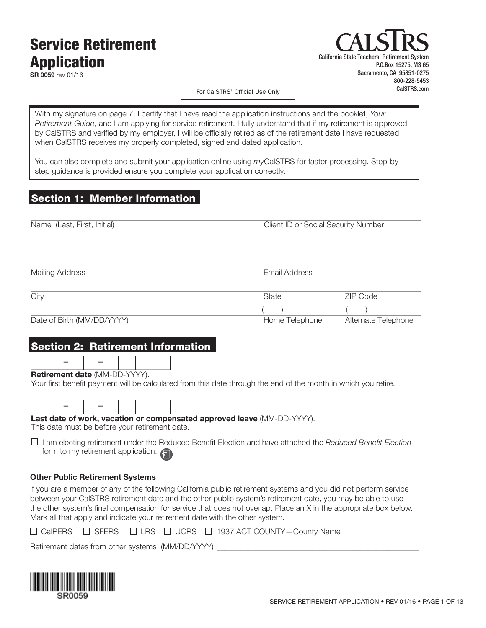# Service Retirement Application

SR 0059 rev 01/16

California State Teachers' Retirement System P.O.Box 15275, MS 65 Sacramento, CA 95851-0275 800-228-5453 CalSTRS.com

For CalSTRS' Official Use Only

With my signature on page 7, I certify that I have read the application instructions and the booklet, Your Retirement Guide, and I am applying for service retirement. I fully understand that if my retirement is approved by CalSTRS and verified by my employer, I will be officially retired as of the retirement date I have requested when CalSTRS receives my properly completed, signed and dated application.

You can also complete and submit your application online using myCalSTRS for faster processing. Step-bystep guidance is provided ensure you complete your application correctly.

# Section 1: Member Information

Name (Last, First, Initial) Client ID or Social Security Number

| <b>Mailing Address</b>     | Email Address  |                     |  |  |
|----------------------------|----------------|---------------------|--|--|
| City                       | State          | ZIP Code            |  |  |
|                            |                |                     |  |  |
| Date of Birth (MM/DD/YYYY) | Home Telephone | Alternate Telephone |  |  |

# Section 2: Retirement Information

Retirement date (MM-DD-YYYY). – –

Your first benefit payment will be calculated from this date through the end of the month in which you retire.



# Last date of work, vacation or compensated approved leave (MM-DD-YYYY).

This date must be before your retirement date.

 $\Box$  I am electing retirement under the Reduced Benefit Election and have attached the Reduced Benefit Election form to my retirement application.

# Other Public Retirement Systems

If you are a member of any of the following California public retirement systems and you did not perform service between your CalSTRS retirement date and the other public system's retirement date, you may be able to use the other system's final compensation for service that does not overlap. Place an X in the appropriate box below. Mark all that apply and indicate your retirement date with the other system.

| $\Box$ CalPERS $\Box$ SFERS $\Box$ LRS $\Box$ UCRS $\Box$ 1937 ACT COUNTY-County Name |  |
|---------------------------------------------------------------------------------------|--|
|---------------------------------------------------------------------------------------|--|

Retirement dates from other systems (MM/DD/YYYY)

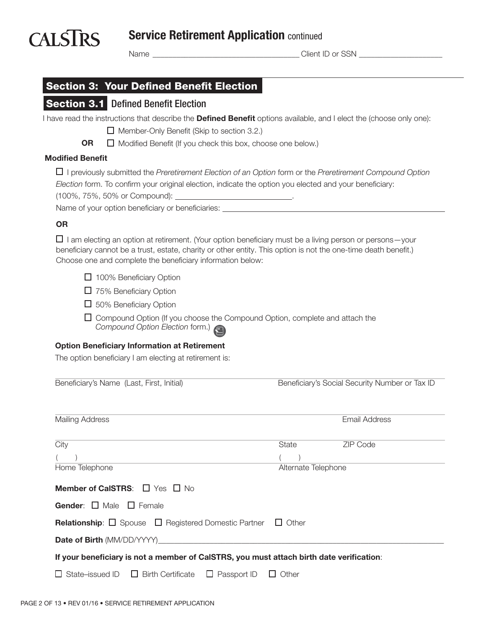**CALSTRS** 

Name \_\_\_\_\_\_\_\_\_\_\_\_\_\_\_\_\_\_\_\_\_\_\_\_\_\_\_\_\_\_\_\_\_\_\_\_\_ Client ID or SSN \_\_\_\_\_\_\_\_\_\_\_\_\_\_\_\_\_\_\_\_\_

# Section 3: Your Defined Benefit Election

# Section 3.1 Defined Benefit Election

I have read the instructions that describe the **Defined Benefit** options available, and I elect the (choose only one):

□ Member-Only Benefit (Skip to section 3.2.)

**OR**  $\Box$  Modified Benefit (If you check this box, choose one below.)

# Modified Benefit

 $\Box$  I previously submitted the Preretirement Election of an Option form or the Preretirement Compound Option Election form. To confirm your original election, indicate the option you elected and your beneficiary:

(100%, 75%, 50% or Compound): .

Name of your option beneficiary or beneficiaries:

# OR

 $\Box$  I am electing an option at retirement. (Your option beneficiary must be a living person or persons—your beneficiary cannot be a trust, estate, charity or other entity. This option is not the one-time death benefit.) Choose one and complete the beneficiary information below:

 $\Box$  100% Beneficiary Option

□ 75% Beneficiary Option

□ 50% Beneficiary Option

 $\Box$  Compound Option (If you choose the Compound Option, complete and attach the Compound Option Election form.)

# Option Beneficiary Information at Retirement

The option beneficiary I am electing at retirement is:

| Beneficiary's Name (Last, First, Initial)                                                  | Beneficiary's Social Security Number or Tax ID |                      |
|--------------------------------------------------------------------------------------------|------------------------------------------------|----------------------|
|                                                                                            |                                                |                      |
| <b>Mailing Address</b>                                                                     |                                                | <b>Email Address</b> |
| City                                                                                       | State                                          | <b>ZIP Code</b>      |
| $($ )                                                                                      |                                                |                      |
| Home Telephone                                                                             | Alternate Telephone                            |                      |
| <b>Member of CalSTRS:</b> $\Box$ Yes $\Box$ No<br><b>Gender:</b> $\Box$ Male $\Box$ Female |                                                |                      |
|                                                                                            |                                                |                      |
| <b>Relationship:</b> $\Box$ Spouse $\Box$ Registered Domestic Partner $\Box$ Other         |                                                |                      |
| <b>Date of Birth (MM/DD/YYYY)</b>                                                          |                                                |                      |
| If your beneficiary is not a member of CaISTRS, you must attach birth date verification:   |                                                |                      |
| $\Box$ State–issued ID $\Box$ Birth Certificate $\Box$ Passport ID                         | $\Box$ Other                                   |                      |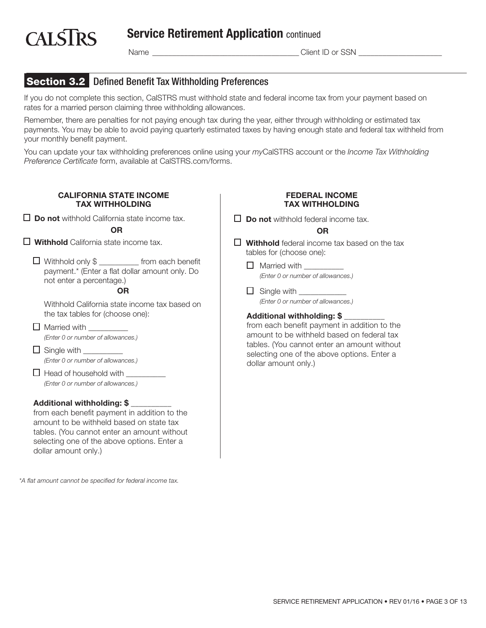Name the contract of the Client ID or SSN  $\Box$ 

# Section 3.2 Defined Benefit Tax Withholding Preferences

If you do not complete this section, CalSTRS must withhold state and federal income tax from your payment based on rates for a married person claiming three withholding allowances.

Remember, there are penalties for not paying enough tax during the year, either through withholding or estimated tax payments. You may be able to avoid paying quarterly estimated taxes by having enough state and federal tax withheld from your monthly benefit payment.

You can update your tax withholding preferences online using your myCalSTRS account or the Income Tax Withholding Preference Certificate form, available at CalSTRS.com/forms.

#### CALIFORNIA STATE INCOME TAX WITHHOLDING

 $\Box$  Do not withhold California state income tax.

OR

 $\Box$  Withhold California state income tax.

**CALSTRS** 

□ Withhold only \$ \_\_\_\_\_\_\_\_\_\_ from each benefit payment.\* (Enter a flat dollar amount only. Do not enter a percentage.)

# OR

Withhold California state income tax based on the tax tables for (choose one):

- $\Box$  Married with (Enter 0 or number of allowances.)
- $\Box$  Single with (Enter 0 or number of allowances.)
- $\Box$  Head of household with  $\Box$ (Enter 0 or number of allowances.)

# Additional withholding: \$

from each benefit payment in addition to the amount to be withheld based on state tax tables. (You cannot enter an amount without selecting one of the above options. Enter a dollar amount only.)

\*A flat amount cannot be specified for federal income tax.

#### FEDERAL INCOME TAX WITHHOLDING

 $\square$  Do not withhold federal income tax.

OR

- $\Box$  Withhold federal income tax based on the tax tables for (choose one):
	- $\Box$  Married with (Enter 0 or number of allowances.)
	- $\Box$  Single with  $\Box$ (Enter 0 or number of allowances.)

# Additional withholding: \$ \_\_\_\_\_\_\_\_\_\_

from each benefit payment in addition to the amount to be withheld based on federal tax tables. (You cannot enter an amount without selecting one of the above options. Enter a dollar amount only.)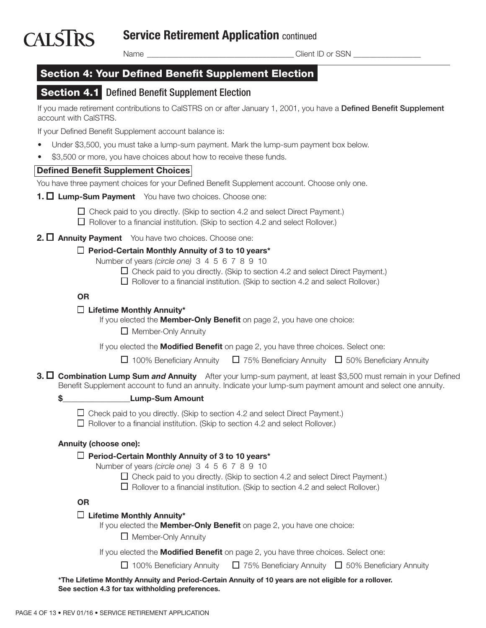Name **Name Name Name Name Name Name Client ID** or SSN  $\blacksquare$ 

# Section 4: Your Defined Benefit Supplement Election

# Section 4.1 Defined Benefit Supplement Election

If you made retirement contributions to CalSTRS on or after January 1, 2001, you have a Defined Benefit Supplement account with CalSTRS.

If your Defined Benefit Supplement account balance is:

- Under \$3,500, you must take a lump-sum payment. Mark the lump-sum payment box below.
- \$3,500 or more, you have choices about how to receive these funds.

# Defined Benefit Supplement Choices

You have three payment choices for your Defined Benefit Supplement account. Choose only one.

- **1.**  $\Box$  **Lump-Sum Payment** You have two choices. Choose one:
	- $\Box$  Check paid to you directly. (Skip to section 4.2 and select Direct Payment.)
	- $\Box$  Rollover to a financial institution. (Skip to section 4.2 and select Rollover.)

# **2.**  $\Box$  **Annuity Payment** You have two choices. Choose one:

# $\Box$  Period-Certain Monthly Annuity of 3 to 10 years\*

Number of years (circle one) 3 4 5 6 7 8 9 10

- $\Box$  Check paid to you directly. (Skip to section 4.2 and select Direct Payment.)
- $\Box$  Rollover to a financial institution. (Skip to section 4.2 and select Rollover.)

# OR

**CALSTRS** 

# $\square$  Lifetime Monthly Annuity\*

If you elected the **Member-Only Benefit** on page 2, you have one choice:

**H** Member-Only Annuity

If you elected the **Modified Benefit** on page 2, you have three choices. Select one:

 $\Box$  100% Beneficiary Annuity  $\Box$  75% Beneficiary Annuity  $\Box$  50% Beneficiary Annuity

3.  $\Box$  Combination Lump Sum and Annuity After your lump-sum payment, at least \$3,500 must remain in your Defined Benefit Supplement account to fund an annuity. Indicate your lump-sum payment amount and select one annuity.

\$\_\_\_\_\_\_\_\_\_\_\_\_\_\_\_\_\_Lump-Sum Amount

 $\Box$  Check paid to you directly. (Skip to section 4.2 and select Direct Payment.)

 $\Box$  Rollover to a financial institution. (Skip to section 4.2 and select Rollover.)

# Annuity (choose one):

# $\Box$  Period-Certain Monthly Annuity of 3 to 10 years\*

Number of years (circle one) 3 4 5 6 7 8 9 10

 $\Box$  Check paid to you directly. (Skip to section 4.2 and select Direct Payment.)

 $\Box$  Rollover to a financial institution. (Skip to section 4.2 and select Rollover.)

# **OR**

# $\Box$  Lifetime Monthly Annuity\*

If you elected the **Member-Only Benefit** on page 2, you have one choice:

 $\Box$  Member-Only Annuity

If you elected the **Modified Benefit** on page 2, you have three choices. Select one:

 $\Box$  100% Beneficiary Annuity  $\Box$  75% Beneficiary Annuity  $\Box$  50% Beneficiary Annuity

\*The Lifetime Monthly Annuity and Period-Certain Annuity of 10 years are not eligible for a rollover. See section 4.3 for tax withholding preferences.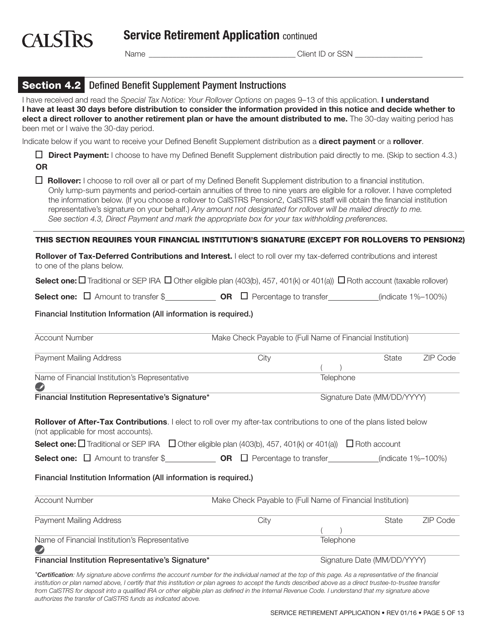**CALSTRS** 

Name \_\_\_\_\_\_\_\_\_\_\_\_\_\_\_\_\_\_\_\_\_\_\_\_\_\_\_\_\_\_\_\_\_\_\_\_\_ Client ID or SSN \_\_\_\_\_\_\_\_\_\_\_\_\_\_\_\_\_

# Section 4.2 Defined Benefit Supplement Payment Instructions

I have received and read the Special Tax Notice: Your Rollover Options on pages 9-13 of this application. I understand I have at least 30 days before distribution to consider the information provided in this notice and decide whether to elect a direct rollover to another retirement plan or have the amount distributed to me. The 30-day waiting period has been met or I waive the 30-day period.

Indicate below if you want to receive your Defined Benefit Supplement distribution as a **direct payment** or a *rollover*.

 $\Box$  Direct Payment: I choose to have my Defined Benefit Supplement distribution paid directly to me. (Skip to section 4.3.) OR

 $\Box$  **Rollover:** I choose to roll over all or part of my Defined Benefit Supplement distribution to a financial institution. Only lump-sum payments and period-certain annuities of three to nine years are eligible for a rollover. I have completed the information below. (If you choose a rollover to CalSTRS Pension2, CalSTRS staff will obtain the financial institution representative's signature on your behalf.) Any amount not designated for rollover will be mailed directly to me. See section 4.3, Direct Payment and mark the appropriate box for your tax withholding preferences.

# THIS SECTION REQUIRES YOUR FINANCIAL INSTITUTION'S SIGNATURE (EXCEPT FOR ROLLOVERS TO PENSION2)

Rollover of Tax-Deferred Contributions and Interest. I elect to roll over my tax-deferred contributions and interest to one of the plans below.

Select one:  $\Box$  Traditional or SEP IRA  $\Box$  Other eligible plan (403(b), 457, 401(k) or 401(a))  $\Box$  Roth account (taxable rollover)

| <b>Select one:</b> $\Box$ Amount to transfer \$ | <b>OR</b> $\Box$ Percentage to transfer | (indicate 1%-100%) |
|-------------------------------------------------|-----------------------------------------|--------------------|
|-------------------------------------------------|-----------------------------------------|--------------------|

#### Financial Institution Information (All information is required.)

| <b>Account Number</b>                                                                                                                                               | Make Check Payable to (Full Name of Financial Institution) |           |       |          |
|---------------------------------------------------------------------------------------------------------------------------------------------------------------------|------------------------------------------------------------|-----------|-------|----------|
| <b>Payment Mailing Address</b>                                                                                                                                      | City                                                       |           |       | ZIP Code |
|                                                                                                                                                                     |                                                            |           |       |          |
| Name of Financial Institution's Representative<br>فلمحدث                                                                                                            | Telephone                                                  |           |       |          |
| Financial Institution Representative's Signature*                                                                                                                   | Signature Date (MM/DD/YYYY)                                |           |       |          |
| <b>Rollover of After-Tax Contributions.</b> I elect to roll over my after-tax contributions to one of the plans listed below<br>(not applicable for most accounts). |                                                            |           |       |          |
| <b>Select one:</b> $\Box$ Traditional or SEP IRA $\Box$ Other eligible plan (403(b), 457, 401(k) or 401(a)) $\Box$ Roth account                                     |                                                            |           |       |          |
| <b>Select one:</b> $\Box$ Amount to transfer $\frac{8}{2}$ <b>OR</b> $\Box$ Percentage to transfer_________(indicate 1%-100%)                                       |                                                            |           |       |          |
| Financial Institution Information (All information is required.)                                                                                                    |                                                            |           |       |          |
| <b>Account Number</b>                                                                                                                                               | Make Check Payable to (Full Name of Financial Institution) |           |       |          |
| Payment Mailing Address                                                                                                                                             | City                                                       |           | State | ZIP Code |
|                                                                                                                                                                     |                                                            |           |       |          |
| Name of Financial Institution's Representative<br>$\left( 0,1\right)$                                                                                               |                                                            | Telephone |       |          |
| Financial Institution Representative's Signature*                                                                                                                   | Signature Date (MM/DD/YYYY)                                |           |       |          |
| *Certification: My signature above confirms the account number for the individual named at the top of this page. As a representative of the financial               |                                                            |           |       |          |

institution or plan named above, I certify that this institution or plan agrees to accept the funds described above as a direct trustee-to-trustee transfer from CalSTRS for deposit into a qualified IRA or other eligible plan as defined in the Internal Revenue Code. I understand that my signature above authorizes the transfer of CalSTRS funds as indicated above.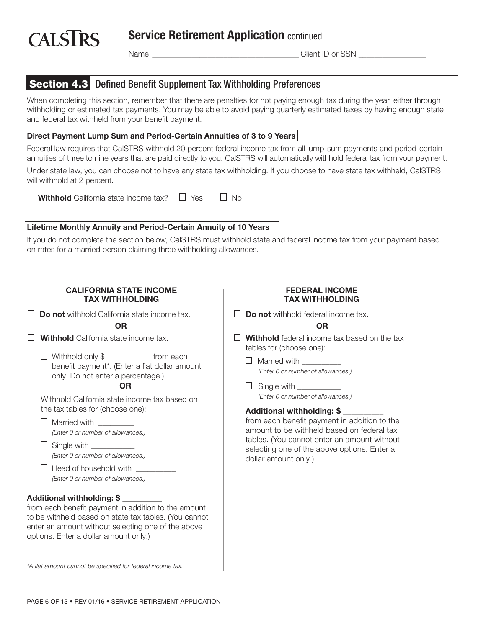**CALSTRS** 

Name and the settlement of the Client ID or SSN  $\Box$ 

# Section 4.3 Defined Benefit Supplement Tax Withholding Preferences

When completing this section, remember that there are penalties for not paying enough tax during the year, either through withholding or estimated tax payments. You may be able to avoid paying quarterly estimated taxes by having enough state and federal tax withheld from your benefit payment.

# Direct Payment Lump Sum and Period-Certain Annuities of 3 to 9 Years

Federal law requires that CalSTRS withhold 20 percent federal income tax from all lump-sum payments and period-certain annuities of three to nine years that are paid directly to you. CalSTRS will automatically withhold federal tax from your payment.

Under state law, you can choose not to have any state tax withholding. If you choose to have state tax withheld, CalSTRS will withhold at 2 percent.

**Withhold** California state income tax?  $\Box$  Yes  $\Box$  No

# Lifetime Monthly Annuity and Period-Certain Annuity of 10 Years

If you do not complete the section below, CalSTRS must withhold state and federal income tax from your payment based on rates for a married person claiming three withholding allowances.

#### CALIFORNIA STATE INCOME TAX WITHHOLDING

 $\Box$  Do not withhold California state income tax.

#### OR

 $\Box$  Withhold California state income tax.

 Withhold only \$ \_\_\_\_\_\_\_\_\_\_ from each benefit payment\*. (Enter a flat dollar amount only. Do not enter a percentage.)

OR

Withhold California state income tax based on the tax tables for (choose one):

 $\Box$  Married with (Enter 0 or number of allowances.)

 $\Box$  Single with (Enter 0 or number of allowances.)

 $\Box$  Head of household with (Enter 0 or number of allowances.)

# Additional withholding: \$ \_\_\_\_\_\_\_\_\_\_

from each benefit payment in addition to the amount to be withheld based on state tax tables. (You cannot enter an amount without selecting one of the above options. Enter a dollar amount only.)

\*A flat amount cannot be specified for federal income tax.

#### FEDERAL INCOME TAX WITHHOLDING

 $\Box$  **Do not** withhold federal income tax.

OR

- $\Box$  Withhold federal income tax based on the tax tables for (choose one):
	- $\Box$  Married with (Enter 0 or number of allowances.)
	- $\Box$  Single with  $\_\_$ (Enter 0 or number of allowances.)

# Additional withholding: \$ \_\_\_\_\_\_\_\_\_\_

from each benefit payment in addition to the amount to be withheld based on federal tax tables. (You cannot enter an amount without selecting one of the above options. Enter a dollar amount only.)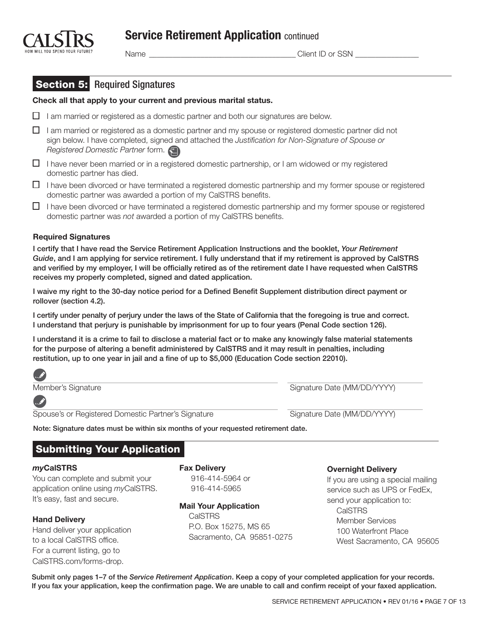

Name \_\_\_\_\_\_\_\_\_\_\_\_\_\_\_\_\_\_\_\_\_\_\_\_\_\_\_\_\_\_\_\_\_\_\_\_\_ Client ID or SSN \_\_\_\_\_\_\_\_\_\_\_\_\_\_\_\_

# Section 5: Required Signatures

# Check all that apply to your current and previous marital status.

- $\Box$  I am married or registered as a domestic partner and both our signatures are below.
- $\Box$  I am married or registered as a domestic partner and my spouse or registered domestic partner did not sign below. I have completed, signed and attached the Justification for Non-Signature of Spouse or Registered Domestic Partner form.
- $\Box$  I have never been married or in a registered domestic partnership, or I am widowed or my registered domestic partner has died.
- $\Box$  I have been divorced or have terminated a registered domestic partnership and my former spouse or registered domestic partner was awarded a portion of my CalSTRS benefits.
- $\Box$  I have been divorced or have terminated a registered domestic partnership and my former spouse or registered domestic partner was not awarded a portion of my CalSTRS benefits.

#### Required Signatures

I certify that I have read the Service Retirement Application Instructions and the booklet, Your Retirement Guide, and I am applying for service retirement. I fully understand that if my retirement is approved by CalSTRS and verified by my employer, I will be officially retired as of the retirement date I have requested when CalSTRS receives my properly completed, signed and dated application.

I waive my right to the 30-day notice period for a Defined Benefit Supplement distribution direct payment or rollover (section 4.2).

I certify under penalty of perjury under the laws of the State of California that the foregoing is true and correct. I understand that perjury is punishable by imprisonment for up to four years (Penal Code section 126).

I understand it is a crime to fail to disclose a material fact or to make any knowingly false material statements for the purpose of altering a benefit administered by CalSTRS and it may result in penalties, including restitution, up to one year in jail and a fine of up to \$5,000 (Education Code section 22010).



Member's Signature **Signature** Signature Date (MM/DD/YYYY)

Spouse's or Registered Domestic Partner's Signature Signature Signature Date (MM/DD/YYYY)

Note: Signature dates must be within six months of your requested retirement date.

# Submitting Your Application

#### myCalSTRS

You can complete and submit your application online using myCalSTRS. It's easy, fast and secure.

# Hand Delivery

Hand deliver your application to a local CalSTRS office. For a current listing, go to CalSTRS.com/forms-drop.

Fax Delivery

 916-414-5964 or 916-414-5965

Mail Your Application

CalSTRS P.O. Box 15275, MS 65 Sacramento, CA 95851-0275 Overnight Delivery

If you are using a special mailing service such as UPS or FedEx, send your application to: CalSTRS Member Services 100 Waterfront Place West Sacramento, CA 95605

Submit only pages 1–7 of the Service Retirement Application. Keep a copy of your completed application for your records. If you fax your application, keep the confirmation page. We are unable to call and confirm receipt of your faxed application.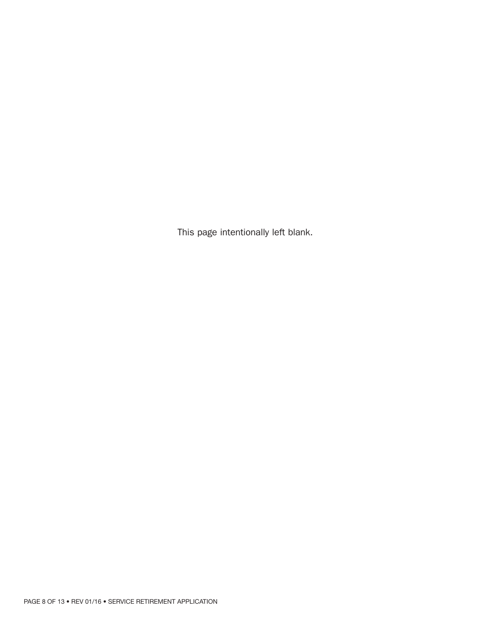This page intentionally left blank.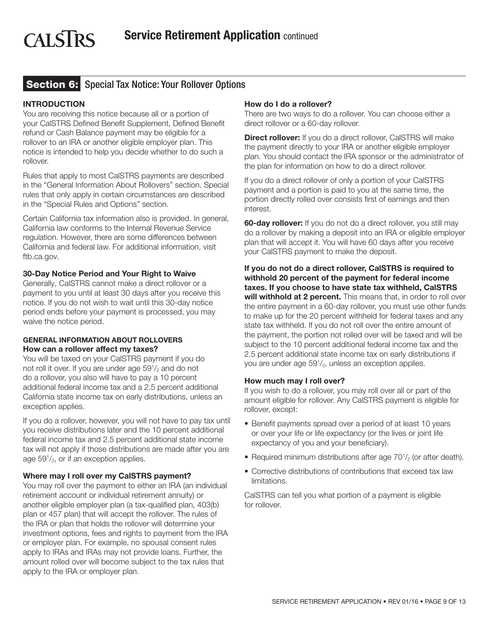# Section 6: Special Tax Notice: Your Rollover Options

# INTRODUCTION

You are receiving this notice because all or a portion of your CalSTRS Defined Benefit Supplement, Defined Benefit refund or Cash Balance payment may be eligible for a rollover to an IRA or another eligible employer plan. This notice is intended to help you decide whether to do such a rollover.

Rules that apply to most CalSTRS payments are described in the "General Information About Rollovers" section. Special rules that only apply in certain circumstances are described in the "Special Rules and Options" section.

Certain California tax information also is provided. In general, California law conforms to the Internal Revenue Service regulation. However, there are some differences between California and federal law. For additional information, visit ftb.ca.gov.

# 30-Day Notice Period and Your Right to Waive

Generally, CalSTRS cannot make a direct rollover or a payment to you until at least 30 days after you receive this notice. If you do not wish to wait until this 30-day notice period ends before your payment is processed, you may waive the notice period.

# GENERAL INFORMATION ABOUT ROLLOVERS How can a rollover affect my taxes?

You will be taxed on your CalSTRS payment if you do not roll it over. If you are under age 59<sup>1</sup>/<sub>2</sub> and do not do a rollover, you also will have to pay a 10 percent additional federal income tax and a 2.5 percent additional California state income tax on early distributions, unless an exception applies.

If you do a rollover, however, you will not have to pay tax until you receive distributions later and the 10 percent additional federal income tax and 2.5 percent additional state income tax will not apply if those distributions are made after you are age 591 /2, or if an exception applies.

# Where may I roll over my CalSTRS payment?

You may roll over the payment to either an IRA (an individual retirement account or individual retirement annuity) or another eligible employer plan (a tax-qualified plan, 403(b) plan or 457 plan) that will accept the rollover. The rules of the IRA or plan that holds the rollover will determine your investment options, fees and rights to payment from the IRA or employer plan. For example, no spousal consent rules apply to IRAs and IRAs may not provide loans. Further, the amount rolled over will become subject to the tax rules that apply to the IRA or employer plan.

#### How do I do a rollover?

There are two ways to do a rollover. You can choose either a direct rollover or a 60-day rollover.

**Direct rollover:** If you do a direct rollover, CalSTRS will make the payment directly to your IRA or another eligible employer plan. You should contact the IRA sponsor or the administrator of the plan for information on how to do a direct rollover.

If you do a direct rollover of only a portion of your CalSTRS payment and a portion is paid to you at the same time, the portion directly rolled over consists first of earnings and then interest.

60-day rollover: If you do not do a direct rollover, you still may do a rollover by making a deposit into an IRA or eligible employer plan that will accept it. You will have 60 days after you receive your CalSTRS payment to make the deposit.

If you do not do a direct rollover, CalSTRS is required to withhold 20 percent of the payment for federal income taxes. If you choose to have state tax withheld, CalSTRS will withhold at 2 percent. This means that, in order to roll over the entire payment in a 60-day rollover, you must use other funds to make up for the 20 percent withheld for federal taxes and any state tax withheld. If you do not roll over the entire amount of the payment, the portion not rolled over will be taxed and will be subject to the 10 percent additional federal income tax and the 2.5 percent additional state income tax on early distributions if you are under age 591 /2, unless an exception applies.

#### How much may I roll over?

If you wish to do a rollover, you may roll over all or part of the amount eligible for rollover. Any CalSTRS payment is eligible for rollover, except:

- Benefit payments spread over a period of at least 10 years or over your life or life expectancy (or the lives or joint life expectancy of you and your beneficiary).
- Required minimum distributions after age 70<sup>1</sup>/<sub>2</sub> (or after death).
- Corrective distributions of contributions that exceed tax law limitations.

CalSTRS can tell you what portion of a payment is eligible for rollover.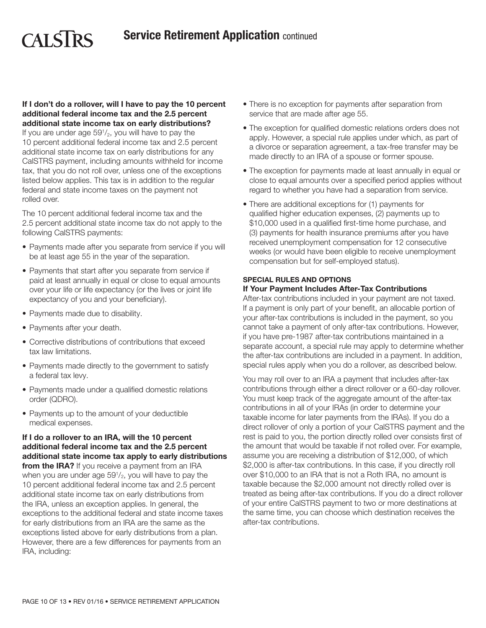#### If I don't do a rollover, will I have to pay the 10 percent additional federal income tax and the 2.5 percent additional state income tax on early distributions?

If you are under age  $59<sup>1</sup>/<sub>2</sub>$ , you will have to pay the 10 percent additional federal income tax and 2.5 percent additional state income tax on early distributions for any CalSTRS payment, including amounts withheld for income tax, that you do not roll over, unless one of the exceptions listed below applies. This tax is in addition to the regular federal and state income taxes on the payment not rolled over.

The 10 percent additional federal income tax and the 2.5 percent additional state income tax do not apply to the following CalSTRS payments:

- Payments made after you separate from service if you will be at least age 55 in the year of the separation.
- Payments that start after you separate from service if paid at least annually in equal or close to equal amounts over your life or life expectancy (or the lives or joint life expectancy of you and your beneficiary).
- Payments made due to disability.
- Payments after your death.

**CALSTRS** 

- Corrective distributions of contributions that exceed tax law limitations.
- Payments made directly to the government to satisfy a federal tax levy.
- Payments made under a qualified domestic relations order (QDRO).
- Payments up to the amount of your deductible medical expenses.

#### If I do a rollover to an IRA, will the 10 percent additional federal income tax and the 2.5 percent additional state income tax apply to early distributions from the IRA? If you receive a payment from an IRA when you are under age 591 /2, you will have to pay the 10 percent additional federal income tax and 2.5 percent additional state income tax on early distributions from the IRA, unless an exception applies. In general, the exceptions to the additional federal and state income taxes for early distributions from an IRA are the same as the exceptions listed above for early distributions from a plan. However, there are a few differences for payments from an IRA, including:

- There is no exception for payments after separation from service that are made after age 55.
- The exception for qualified domestic relations orders does not apply. However, a special rule applies under which, as part of a divorce or separation agreement, a tax-free transfer may be made directly to an IRA of a spouse or former spouse.
- The exception for payments made at least annually in equal or close to equal amounts over a specified period applies without regard to whether you have had a separation from service.
- There are additional exceptions for (1) payments for qualified higher education expenses, (2) payments up to \$10,000 used in a qualified first-time home purchase, and (3) payments for health insurance premiums after you have received unemployment compensation for 12 consecutive weeks (or would have been eligible to receive unemployment compensation but for self-employed status).

# SPECIAL RULES AND OPTIONS

# If Your Payment Includes After-Tax Contributions

After-tax contributions included in your payment are not taxed. If a payment is only part of your benefit, an allocable portion of your after-tax contributions is included in the payment, so you cannot take a payment of only after-tax contributions. However, if you have pre-1987 after-tax contributions maintained in a separate account, a special rule may apply to determine whether the after-tax contributions are included in a payment. In addition, special rules apply when you do a rollover, as described below.

You may roll over to an IRA a payment that includes after-tax contributions through either a direct rollover or a 60-day rollover. You must keep track of the aggregate amount of the after-tax contributions in all of your IRAs (in order to determine your taxable income for later payments from the IRAs). If you do a direct rollover of only a portion of your CalSTRS payment and the rest is paid to you, the portion directly rolled over consists first of the amount that would be taxable if not rolled over. For example, assume you are receiving a distribution of \$12,000, of which \$2,000 is after-tax contributions. In this case, if you directly roll over \$10,000 to an IRA that is not a Roth IRA, no amount is taxable because the \$2,000 amount not directly rolled over is treated as being after-tax contributions. If you do a direct rollover of your entire CalSTRS payment to two or more destinations at the same time, you can choose which destination receives the after-tax contributions.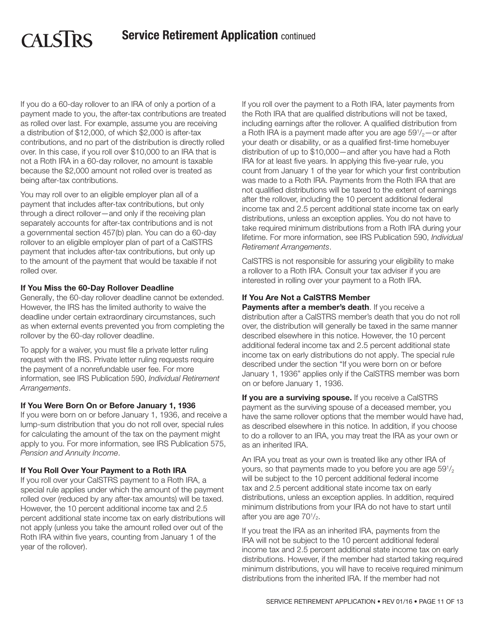# **CALSTRS**

If you do a 60-day rollover to an IRA of only a portion of a payment made to you, the after-tax contributions are treated as rolled over last. For example, assume you are receiving a distribution of \$12,000, of which \$2,000 is after-tax contributions, and no part of the distribution is directly rolled over. In this case, if you roll over \$10,000 to an IRA that is not a Roth IRA in a 60-day rollover, no amount is taxable because the \$2,000 amount not rolled over is treated as being after-tax contributions.

You may roll over to an eligible employer plan all of a payment that includes after-tax contributions, but only through a direct rollover—and only if the receiving plan separately accounts for after-tax contributions and is not a governmental section 457(b) plan. You can do a 60-day rollover to an eligible employer plan of part of a CalSTRS payment that includes after-tax contributions, but only up to the amount of the payment that would be taxable if not rolled over.

# If You Miss the 60-Day Rollover Deadline

Generally, the 60-day rollover deadline cannot be extended. However, the IRS has the limited authority to waive the deadline under certain extraordinary circumstances, such as when external events prevented you from completing the rollover by the 60-day rollover deadline.

To apply for a waiver, you must file a private letter ruling request with the IRS. Private letter ruling requests require the payment of a nonrefundable user fee. For more information, see IRS Publication 590, Individual Retirement Arrangements.

# If You Were Born On or Before January 1, 1936

If you were born on or before January 1, 1936, and receive a lump-sum distribution that you do not roll over, special rules for calculating the amount of the tax on the payment might apply to you. For more information, see IRS Publication 575, Pension and Annuity Income.

# If You Roll Over Your Payment to a Roth IRA

If you roll over your CalSTRS payment to a Roth IRA, a special rule applies under which the amount of the payment rolled over (reduced by any after-tax amounts) will be taxed. However, the 10 percent additional income tax and 2.5 percent additional state income tax on early distributions will not apply (unless you take the amount rolled over out of the Roth IRA within five years, counting from January 1 of the year of the rollover).

If you roll over the payment to a Roth IRA, later payments from the Roth IRA that are qualified distributions will not be taxed, including earnings after the rollover. A qualified distribution from a Roth IRA is a payment made after you are age  $59<sup>1</sup>/<sub>2</sub>$  or after your death or disability, or as a qualified first-time homebuyer distribution of up to \$10,000—and after you have had a Roth IRA for at least five years. In applying this five-year rule, you count from January 1 of the year for which your first contribution was made to a Roth IRA. Payments from the Roth IRA that are not qualified distributions will be taxed to the extent of earnings after the rollover, including the 10 percent additional federal income tax and 2.5 percent additional state income tax on early distributions, unless an exception applies. You do not have to take required minimum distributions from a Roth IRA during your lifetime. For more information, see IRS Publication 590, Individual Retirement Arrangements.

CalSTRS is not responsible for assuring your eligibility to make a rollover to a Roth IRA. Consult your tax adviser if you are interested in rolling over your payment to a Roth IRA.

# If You Are Not a CalSTRS Member

Payments after a member's death. If you receive a distribution after a CalSTRS member's death that you do not roll over, the distribution will generally be taxed in the same manner described elsewhere in this notice. However, the 10 percent additional federal income tax and 2.5 percent additional state income tax on early distributions do not apply. The special rule described under the section "If you were born on or before January 1, 1936" applies only if the CalSTRS member was born on or before January 1, 1936.

If you are a surviving spouse. If you receive a CalSTRS payment as the surviving spouse of a deceased member, you have the same rollover options that the member would have had, as described elsewhere in this notice. In addition, if you choose to do a rollover to an IRA, you may treat the IRA as your own or as an inherited IRA.

An IRA you treat as your own is treated like any other IRA of yours, so that payments made to you before you are age  $59\frac{1}{2}$ will be subject to the 10 percent additional federal income tax and 2.5 percent additional state income tax on early distributions, unless an exception applies. In addition, required minimum distributions from your IRA do not have to start until after you are age 70<sup>1</sup>/2.

If you treat the IRA as an inherited IRA, payments from the IRA will not be subject to the 10 percent additional federal income tax and 2.5 percent additional state income tax on early distributions. However, if the member had started taking required minimum distributions, you will have to receive required minimum distributions from the inherited IRA. If the member had not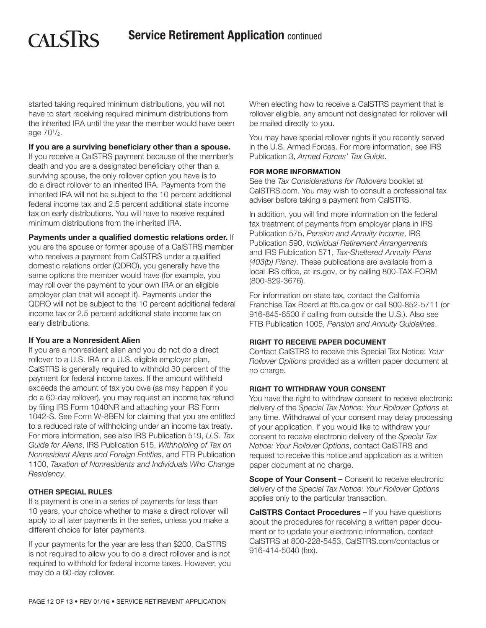started taking required minimum distributions, you will not have to start receiving required minimum distributions from the inherited IRA until the year the member would have been age 701 /2.

#### If you are a surviving beneficiary other than a spouse.

If you receive a CalSTRS payment because of the member's death and you are a designated beneficiary other than a surviving spouse, the only rollover option you have is to do a direct rollover to an inherited IRA. Payments from the inherited IRA will not be subject to the 10 percent additional federal income tax and 2.5 percent additional state income tax on early distributions. You will have to receive required minimum distributions from the inherited IRA.

#### Payments under a qualified domestic relations order. If

you are the spouse or former spouse of a CalSTRS member who receives a payment from CalSTRS under a qualified domestic relations order (QDRO), you generally have the same options the member would have (for example, you may roll over the payment to your own IRA or an eligible employer plan that will accept it). Payments under the QDRO will not be subject to the 10 percent additional federal income tax or 2.5 percent additional state income tax on early distributions.

#### If You are a Nonresident Alien

**CALSTRS** 

If you are a nonresident alien and you do not do a direct rollover to a U.S. IRA or a U.S. eligible employer plan, CalSTRS is generally required to withhold 30 percent of the payment for federal income taxes. If the amount withheld exceeds the amount of tax you owe (as may happen if you do a 60-day rollover), you may request an income tax refund by filing IRS Form 1040NR and attaching your IRS Form 1042-S. See Form W-8BEN for claiming that you are entitled to a reduced rate of withholding under an income tax treaty. For more information, see also IRS Publication 519, U.S. Tax Guide for Aliens, IRS Publication 515, Withholding of Tax on Nonresident Aliens and Foreign Entities, and FTB Publication 1100, Taxation of Nonresidents and Individuals Who Change Residency.

#### OTHER SPECIAL RULES

If a payment is one in a series of payments for less than 10 years, your choice whether to make a direct rollover will apply to all later payments in the series, unless you make a different choice for later payments.

If your payments for the year are less than \$200, CalSTRS is not required to allow you to do a direct rollover and is not required to withhold for federal income taxes. However, you may do a 60-day rollover.

When electing how to receive a CalSTRS payment that is rollover eligible, any amount not designated for rollover will be mailed directly to you.

You may have special rollover rights if you recently served in the U.S. Armed Forces. For more information, see IRS Publication 3, Armed Forces' Tax Guide.

#### FOR MORE INFORMATION

See the Tax Considerations for Rollovers booklet at CalSTRS.com. You may wish to consult a professional tax adviser before taking a payment from CalSTRS.

In addition, you will find more information on the federal tax treatment of payments from employer plans in IRS Publication 575, Pension and Annuity Income, IRS Publication 590, Individual Retirement Arrangements and IRS Publication 571, Tax-Sheltered Annuity Plans (403(b) Plans). These publications are available from a local IRS office, at irs.gov, or by calling 800-TAX-FORM (800-829-3676).

For information on state tax, contact the California Franchise Tax Board at ftb.ca.gov or call 800-852-5711 (or 916-845-6500 if calling from outside the U.S.). Also see FTB Publication 1005, Pension and Annuity Guidelines.

#### RIGHT TO RECEIVE PAPER DOCUMENT

Contact CalSTRS to receive this Special Tax Notice: Your Rollover Opitions provided as a written paper document at no charge.

#### RIGHT TO WITHDRAW YOUR CONSENT

You have the right to withdraw consent to receive electronic delivery of the Special Tax Notice: Your Rollover Options at any time. Withdrawal of your consent may delay processing of your application. If you would like to withdraw your consent to receive electronic delivery of the Special Tax Notice: Your Rollover Options, contact CalSTRS and request to receive this notice and application as a written paper document at no charge.

Scope of Your Consent - Consent to receive electronic delivery of the Special Tax Notice: Your Rollover Options applies only to the particular transaction.

**CalSTRS Contact Procedures - If you have questions** about the procedures for receiving a written paper document or to update your electronic information, contact CalSTRS at 800-228-5453, CalSTRS.com/contactus or 916-414-5040 (fax).